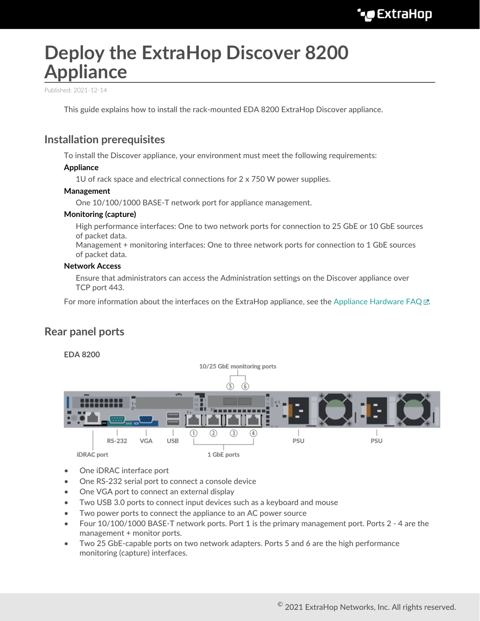# **Deploy the ExtraHop Discover 8200 Appliance**

Published: 2021-12-14

This guide explains how to install the rack-mounted EDA 8200 ExtraHop Discover appliance.

### **Installation prerequisites**

To install the Discover appliance, your environment must meet the following requirements:

### **Appliance**

1U of rack space and electrical connections for  $2 \times 750$  W power supplies.

### **Management**

One 10/100/1000 BASE-T network port for appliance management.

### **Monitoring (capture)**

High performance interfaces: One to two network ports for connection to 25 GbE or 10 GbE sources of packet data.

Management + monitoring interfaces: One to three network ports for connection to 1 GbE sources of packet data.

### **Network Access**

Ensure that administrators can access the Administration settings on the Discover appliance over TCP port 443.

For more information about the interfaces on the ExtraHop appliance, see the [Appliance Hardware FAQ](https://docs.extrahop.com/8.6/app-hw-faq/#appliance-hardware-faq)  $\mathbb{E}$ .

### **Rear panel ports**



- One iDRAC interface port
- One RS-232 serial port to connect a console device
- One VGA port to connect an external display
- Two USB 3.0 ports to connect input devices such as a keyboard and mouse
- Two power ports to connect the appliance to an AC power source
- Four 10/100/1000 BASE-T network ports. Port 1 is the primary management port. Ports 2 4 are the management + monitor ports.
- Two 25 GbE-capable ports on two network adapters. Ports 5 and 6 are the high performance monitoring (capture) interfaces.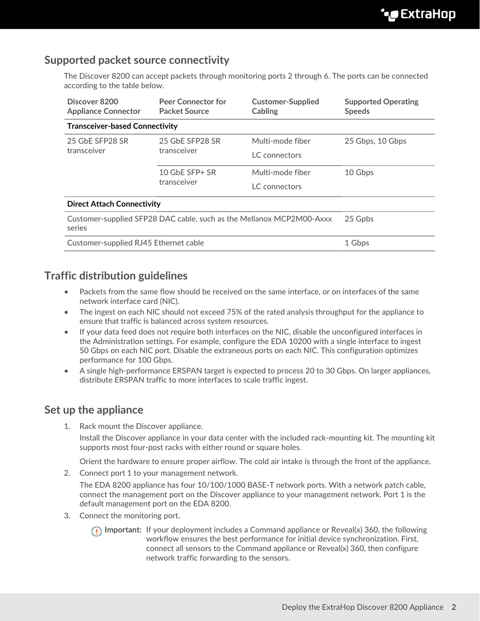# **Supported packet source connectivity**

The Discover 8200 can accept packets through monitoring ports 2 through 6. The ports can be connected according to the table below.

| Discover 8200<br><b>Appliance Connector</b>                                    | <b>Peer Connector for</b><br><b>Packet Source</b> | <b>Customer-Supplied</b><br>Cabling | <b>Supported Operating</b><br><b>Speeds</b> |
|--------------------------------------------------------------------------------|---------------------------------------------------|-------------------------------------|---------------------------------------------|
| <b>Transceiver-based Connectivity</b>                                          |                                                   |                                     |                                             |
| 25 GbE SFP28 SR<br>transceiver                                                 | 25 GbE SFP28 SR<br>transceiver                    | Multi-mode fiber                    | 25 Gbps, 10 Gbps                            |
|                                                                                |                                                   | LC connectors                       |                                             |
|                                                                                | 10 GbE SFP+ SR<br>transceiver                     | Multi-mode fiber                    | 10 Gbps                                     |
|                                                                                |                                                   | LC connectors                       |                                             |
| <b>Direct Attach Connectivity</b>                                              |                                                   |                                     |                                             |
| Customer-supplied SFP28 DAC cable, such as the Mellanox MCP2M00-Axxx<br>series |                                                   |                                     | 25 Gpbs                                     |
| Customer-supplied RJ45 Ethernet cable                                          |                                                   |                                     | 1 Gbps                                      |

# **Traffic distribution guidelines**

- Packets from the same flow should be received on the same interface, or on interfaces of the same network interface card (NIC).
- The ingest on each NIC should not exceed 75% of the rated analysis throughput for the appliance to ensure that traffic is balanced across system resources.
- If your data feed does not require both interfaces on the NIC, disable the unconfigured interfaces in the Administration settings. For example, configure the EDA 10200 with a single interface to ingest 50 Gbps on each NIC port. Disable the extraneous ports on each NIC. This configuration optimizes performance for 100 Gbps.
- A single high-performance ERSPAN target is expected to process 20 to 30 Gbps. On larger appliances, distribute ERSPAN traffic to more interfaces to scale traffic ingest.

### **Set up the appliance**

1. Rack mount the Discover appliance.

Install the Discover appliance in your data center with the included rack-mounting kit. The mounting kit supports most four-post racks with either round or square holes.

Orient the hardware to ensure proper airflow. The cold air intake is through the front of the appliance.

2. Connect port 1 to your management network.

The EDA 8200 appliance has four 10/100/1000 BASE-T network ports. With a network patch cable, connect the management port on the Discover appliance to your management network. Port 1 is the default management port on the EDA 8200.

- 3. Connect the monitoring port.
	- **Important:** If your deployment includes a Command appliance or Reveal(x) 360, the following workflow ensures the best performance for initial device synchronization. First, connect all sensors to the Command appliance or Reveal(x) 360, then configure network traffic forwarding to the sensors.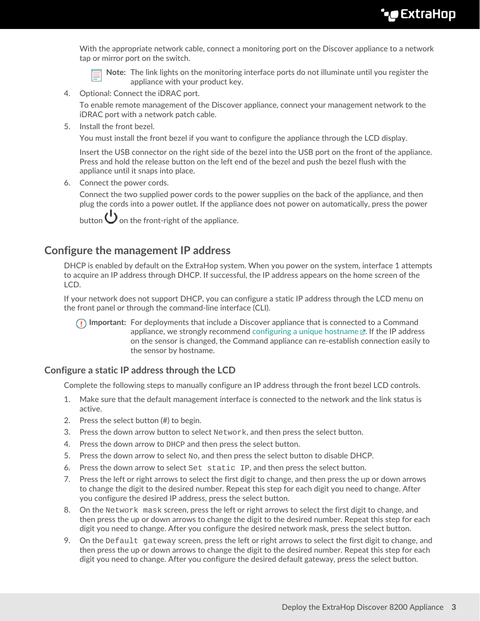With the appropriate network cable, connect a monitoring port on the Discover appliance to a network tap or mirror port on the switch.

**Note:** The link lights on the monitoring interface ports do not illuminate until you register the appliance with your product key.

4. Optional: Connect the iDRAC port.

To enable remote management of the Discover appliance, connect your management network to the iDRAC port with a network patch cable.

5. Install the front bezel.

You must install the front bezel if you want to configure the appliance through the LCD display.

Insert the USB connector on the right side of the bezel into the USB port on the front of the appliance. Press and hold the release button on the left end of the bezel and push the bezel flush with the appliance until it snaps into place.

6. Connect the power cords.

Connect the two supplied power cords to the power supplies on the back of the appliance, and then plug the cords into a power outlet. If the appliance does not power on automatically, press the power

button  $\bigcup$  on the front-right of the appliance.

### **Configure the management IP address**

DHCP is enabled by default on the ExtraHop system. When you power on the system, interface 1 attempts to acquire an IP address through DHCP. If successful, the IP address appears on the home screen of the LCD.

If your network does not support DHCP, you can configure a static IP address through the LCD menu on the front panel or through the command-line interface (CLI).

**Important:** For deployments that include a Discover appliance that is connected to a Command appliance, we strongly recommend [configuring a unique hostname](https://docs.extrahop.com/8.6/eta-admin-ui-guide/#connectivity)  $\mathbb E$ . If the IP address on the sensor is changed, the Command appliance can re-establish connection easily to the sensor by hostname.

### **Configure a static IP address through the LCD**

Complete the following steps to manually configure an IP address through the front bezel LCD controls.

- 1. Make sure that the default management interface is connected to the network and the link status is active.
- 2. Press the select button (#) to begin.
- 3. Press the down arrow button to select Network, and then press the select button.
- 4. Press the down arrow to DHCP and then press the select button.
- 5. Press the down arrow to select  $N_{\rm O}$ , and then press the select button to disable DHCP.
- 6. Press the down arrow to select Set static IP, and then press the select button.
- 7. Press the left or right arrows to select the first digit to change, and then press the up or down arrows to change the digit to the desired number. Repeat this step for each digit you need to change. After you configure the desired IP address, press the select button.
- 8. On the Network mask screen, press the left or right arrows to select the first digit to change, and then press the up or down arrows to change the digit to the desired number. Repeat this step for each digit you need to change. After you configure the desired network mask, press the select button.
- 9. On the Default gateway screen, press the left or right arrows to select the first digit to change, and then press the up or down arrows to change the digit to the desired number. Repeat this step for each digit you need to change. After you configure the desired default gateway, press the select button.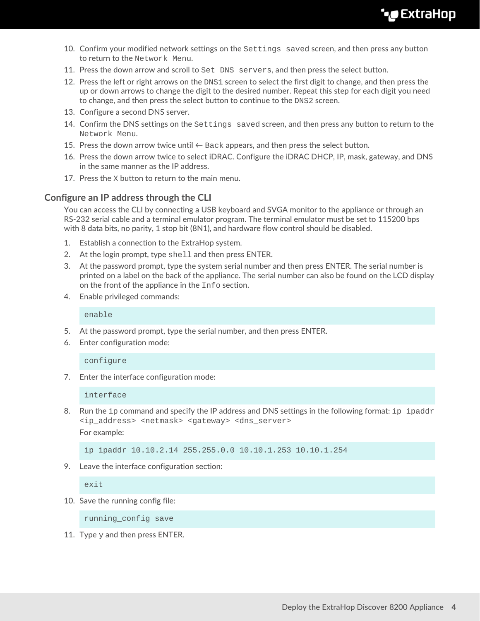- 10. Confirm your modified network settings on the Settings saved screen, and then press any button to return to the Network Menu.
- 11. Press the down arrow and scroll to Set DNS servers, and then press the select button.
- 12. Press the left or right arrows on the DNS1 screen to select the first digit to change, and then press the up or down arrows to change the digit to the desired number. Repeat this step for each digit you need to change, and then press the select button to continue to the DNS2 screen.
- 13. Configure a second DNS server.
- 14. Confirm the DNS settings on the Settings saved screen, and then press any button to return to the Network Menu.
- 15. Press the down arrow twice until  $\leftarrow$  Back appears, and then press the select button.
- 16. Press the down arrow twice to select iDRAC. Configure the iDRAC DHCP, IP, mask, gateway, and DNS in the same manner as the IP address.
- 17. Press the X button to return to the main menu.

### **Configure an IP address through the CLI**

You can access the CLI by connecting a USB keyboard and SVGA monitor to the appliance or through an RS-232 serial cable and a terminal emulator program. The terminal emulator must be set to 115200 bps with 8 data bits, no parity, 1 stop bit (8N1), and hardware flow control should be disabled.

- 1. Establish a connection to the ExtraHop system.
- 2. At the login prompt, type shell and then press ENTER.
- 3. At the password prompt, type the system serial number and then press ENTER. The serial number is printed on a label on the back of the appliance. The serial number can also be found on the LCD display on the front of the appliance in the Info section.
- 4. Enable privileged commands:

enable

- 5. At the password prompt, type the serial number, and then press ENTER.
- 6. Enter configuration mode:

#### configure

7. Enter the interface configuration mode:

#### interface

8. Run the ip command and specify the IP address and DNS settings in the following format: ip ipaddr <ip\_address> <netmask> <gateway> <dns\_server> For example:

ip ipaddr 10.10.2.14 255.255.0.0 10.10.1.253 10.10.1.254

9. Leave the interface configuration section:

exit

10. Save the running config file:

running\_config save

11. Type  $y$  and then press ENTER.